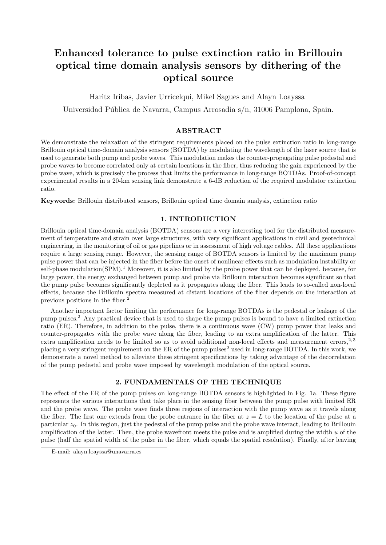# Enhanced tolerance to pulse extinction ratio in Brillouin optical time domain analysis sensors by dithering of the optical source

Haritz Iribas, Javier Urricelqui, Mikel Sagues and Alayn Loayssa

Universidad Pública de Navarra, Campus Arrosadia s/n, 31006 Pamplona, Spain.

## ABSTRACT

We demonstrate the relaxation of the stringent requirements placed on the pulse extinction ratio in long-range Brillouin optical time-domain analysis sensors (BOTDA) by modulating the wavelength of the laser source that is used to generate both pump and probe waves. This modulation makes the counter-propagating pulse pedestal and probe waves to become correlated only at certain locations in the fiber, thus reducing the gain experienced by the probe wave, which is precisely the process that limits the performance in long-range BOTDAs. Proof-of-concept experimental results in a 20-km sensing link demonstrate a 6-dB reduction of the required modulator extinction ratio.

Keywords: Brillouin distributed sensors, Brillouin optical time domain analysis, extinction ratio

## 1. INTRODUCTION

Brillouin optical time-domain analysis (BOTDA) sensors are a very interesting tool for the distributed measurement of temperature and strain over large structures, with very significant applications in civil and geotechnical engineering, in the monitoring of oil or gas pipelines or in assessment of high voltage cables. All these applications require a large sensing range. However, the sensing range of BOTDA sensors is limited by the maximum pump pulse power that can be injected in the fiber before the onset of nonlinear effects such as modulation instability or self-phase modulation(SPM).<sup>1</sup> Moreover, it is also limited by the probe power that can be deployed, because, for large power, the energy exchanged between pump and probe via Brillouin interaction becomes significant so that the pump pulse becomes significantly depleted as it propagates along the fiber. This leads to so-called non-local effects, because the Brillouin spectra measured at distant locations of the fiber depends on the interaction at previous positions in the fiber.<sup>2</sup>

Another important factor limiting the performance for long-range BOTDAs is the pedestal or leakage of the pump pulses.<sup>2</sup> Any practical device that is used to shape the pump pulses is bound to have a limited extinction ratio (ER). Therefore, in addition to the pulse, there is a continuous wave (CW) pump power that leaks and counter-propagates with the probe wave along the fiber, leading to an extra amplification of the latter. This extra amplification needs to be limited so as to avoid additional non-local effects and measurement errors,  $2,3$ placing a very stringent requirement on the ER of the pump pulses<sup>2</sup> used in long-range BOTDA. In this work, we demonstrate a novel method to alleviate these stringent specifications by taking advantage of the decorrelation of the pump pedestal and probe wave imposed by wavelength modulation of the optical source.

## 2. FUNDAMENTALS OF THE TECHNIQUE

The effect of the ER of the pump pulses on long-range BOTDA sensors is highlighted in Fig. 1a. These figure represents the various interactions that take place in the sensing fiber between the pump pulse with limited ER and the probe wave. The probe wave finds three regions of interaction with the pump wave as it travels along the fiber. The first one extends from the probe entrance in the fiber at  $z = L$  to the location of the pulse at a particular  $z_0$ . In this region, just the pedestal of the pump pulse and the probe wave interact, leading to Brillouin amplification of the latter. Then, the probe wavefront meets the pulse and is amplified during the width  $u$  of the pulse (half the spatial width of the pulse in the fiber, which equals the spatial resolution). Finally, after leaving

E-mail: alayn.loayssa@unavarra.es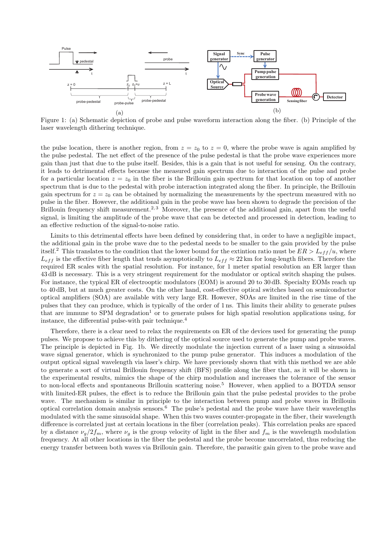

Figure 1: (a) Schematic depiction of probe and pulse waveform interaction along the fiber. (b) Principle of the laser wavelength dithering technique.

the pulse location, there is another region, from  $z = z_0$  to  $z = 0$ , where the probe wave is again amplified by the pulse pedestal. The net effect of the presence of the pulse pedestal is that the probe wave experiences more gain than just that due to the pulse itself. Besides, this is a gain that is not useful for sensing. On the contrary, it leads to detrimental effects because the measured gain spectrum due to interaction of the pulse and probe for a particular location  $z = z_0$  in the fiber is the Brillouin gain spectrum for that location on top of another spectrum that is due to the pedestal with probe interaction integrated along the fiber. In principle, the Brillouin gain spectrum for  $z = z_0$  can be obtained by normalizing the measurements by the spectrum measured with no pulse in the fiber. However, the additional gain in the probe wave has been shown to degrade the precision of the Brillouin frequency shift measurement.<sup>2, 3</sup> Moreover, the presence of the additional gain, apart from the useful signal, is limiting the amplitude of the probe wave that can be detected and processed in detection, leading to an effective reduction of the signal-to-noise ratio.

Limits to this detrimental effects have been defined by considering that, in order to have a negligible impact, the additional gain in the probe wave due to the pedestal needs to be smaller to the gain provided by the pulse itself.<sup>2</sup> This translates to the condition that the lower bound for the extintion ratio must be  $ER > L_{eff}/u$ , where  $L_{eff}$  is the effective fiber length that tends asymptotically to  $L_{eff} \approx 22 \text{ km}$  for long-length fibers. Therefore the required ER scales with the spatial resolution. For instance, for 1 meter spatial resolution an ER larger than 43 dB is necessary. This is a very stringent requirement for the modulator or optical switch shaping the pulses. For instance, the typical ER of electrooptic modulators (EOM) is around 20 to 30 dB. Specialty EOMs reach up to 40 dB, but at much greater costs. On the other hand, cost-effective optical switches based on semiconductor optical amplifiers (SOA) are available with very large ER. However, SOAs are limited in the rise time of the pulses that they can produce, which is typically of the order of 1 ns. This limits their ability to generate pulses that are immune to SPM degradation<sup>1</sup> or to generate pulses for high spatial resolution applications using, for instance, the differential pulse-with pair technique. $4$ 

Therefore, there is a clear need to relax the requirements on ER of the devices used for generating the pump pulses. We propose to achieve this by dithering of the optical source used to generate the pump and probe waves. The principle is depicted in Fig. 1b. We directly modulate the injection current of a laser using a sinusoidal wave signal generator, which is synchronized to the pump pulse generator. This induces a modulation of the output optical signal wavelength via laser's chirp. We have previously shown that with this method we are able to generate a sort of virtual Brillouin frequency shift (BFS) profile along the fiber that, as it will be shown in the experimental results, mimics the shape of the chirp modulation and increases the tolerance of the sensor to non-local effects and spontaneous Brillouin scattering noise.<sup>5</sup> However, when applied to a BOTDA sensor with limited-ER pulses, the effect is to reduce the Brillouin gain that the pulse pedestal provides to the probe wave. The mechanism is similar in principle to the interaction between pump and probe waves in Brillouin optical correlation domain analysis sensors.<sup>6</sup> The pulse's pedestal and the probe wave have their wavelengths modulated with the same sinusoidal shape. When this two waves counter-propagate in the fiber, their wavelength difference is correlated just at certain locations in the fiber (correlation peaks). This correlation peaks are spaced by a distance  $\nu_q/2f_m$ , where  $\nu_q$  is the group velocity of light in the fiber and  $f_m$  is the wavelength modulation frequency. At all other locations in the fiber the pedestal and the probe become uncorrelated, thus reducing the energy transfer between both waves via Brillouin gain. Therefore, the parasitic gain given to the probe wave and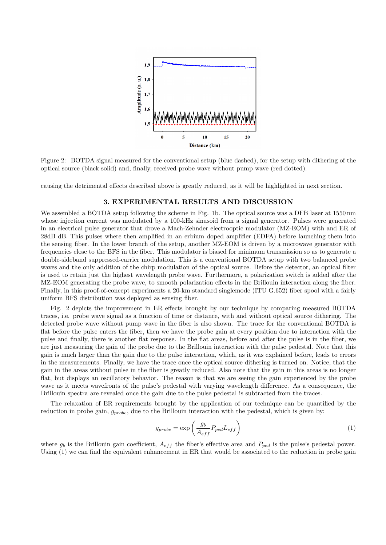

Figure 2: BOTDA signal measured for the conventional setup (blue dashed), for the setup with dithering of the optical source (black solid) and, finally, received probe wave without pump wave (red dotted).

causing the detrimental effects described above is greatly reduced, as it will be highlighted in next section.

#### 3. EXPERIMENTAL RESULTS AND DISCUSSION

We assembled a BOTDA setup following the scheme in Fig. 1b. The optical source was a DFB laser at 1550 nm whose injection current was modulated by a 100-kHz sinusoid from a signal generator. Pulses were generated in an electrical pulse generator that drove a Mach-Zehnder electrooptic modulator (MZ-EOM) with and ER of 28dB dB. This pulses where then amplified in an erbium doped amplifier (EDFA) before launching them into the sensing fiber. In the lower branch of the setup, another MZ-EOM is driven by a microwave generator with frequencies close to the BFS in the fiber. This modulator is biased for minimum transmission so as to generate a double-sideband suppressed-carrier modulation. This is a conventional BOTDA setup with two balanced probe waves and the only addition of the chirp modulation of the optical source. Before the detector, an optical filter is used to retain just the highest wavelength probe wave. Furthermore, a polarization switch is added after the MZ-EOM generating the probe wave, to smooth polarization effects in the Brillouin interaction along the fiber. Finally, in this proof-of-concept experiments a 20-km standard singlemode (ITU G.652) fiber spool with a fairly uniform BFS distribution was deployed as sensing fiber.

Fig. 2 depicts the improvement in ER effects brought by our technique by comparing measured BOTDA traces, i.e. probe wave signal as a function of time or distance, with and without optical source dithering. The detected probe wave without pump wave in the fiber is also shown. The trace for the conventional BOTDA is flat before the pulse enters the fiber, then we have the probe gain at every position due to interaction with the pulse and finally, there is another flat response. In the flat areas, before and after the pulse is in the fiber, we are just measuring the gain of the probe due to the Brillouin interaction with the pulse pedestal. Note that this gain is much larger than the gain due to the pulse interaction, which, as it was explained before, leads to errors in the measurements. Finally, we have the trace once the optical source dithering is turned on. Notice, that the gain in the areas without pulse in the fiber is greatly reduced. Also note that the gain in this areas is no longer flat, but displays an oscillatory behavior. The reason is that we are seeing the gain experienced by the probe wave as it meets wavefronts of the pulse's pedestal with varying wavelength difference. As a consequence, the Brillouin spectra are revealed once the gain due to the pulse pedestal is subtracted from the traces.

The relaxation of ER requirements brought by the application of our technique can be quantified by the reduction in probe gain,  $g_{probe}$ , due to the Brillouin interaction with the pedestal, which is given by:

$$
g_{probe} = \exp\left(\frac{g_b}{A_{eff}}P_{ped}L_{eff}\right) \tag{1}
$$

where  $g_b$  is the Brillouin gain coefficient,  $A_{eff}$  the fiber's effective area and  $P_{ped}$  is the pulse's pedestal power. Using (1) we can find the equivalent enhancement in ER that would be associated to the reduction in probe gain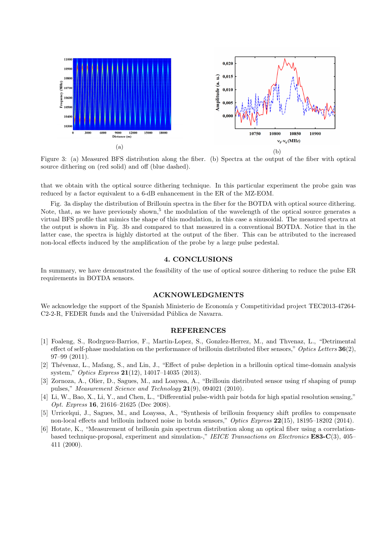

Figure 3: (a) Measured BFS distribution along the fiber. (b) Spectra at the output of the fiber with optical source dithering on (red solid) and off (blue dashed).

that we obtain with the optical source dithering technique. In this particular experiment the probe gain was reduced by a factor equivalent to a 6-dB enhancement in the ER of the MZ-EOM.

Fig. 3a display the distribution of Brillouin spectra in the fiber for the BOTDA with optical source dithering. Note, that, as we have previously shown,<sup>5</sup> the modulation of the wavelength of the optical source generates a virtual BFS profile that mimics the shape of this modulation, in this case a sinusoidal. The measured spectra at the output is shown in Fig. 3b and compared to that measured in a conventional BOTDA. Notice that in the latter case, the spectra is highly distorted at the output of the fiber. This can be attributed to the increased non-local effects induced by the amplification of the probe by a large pulse pedestal.

## 4. CONCLUSIONS

In summary, we have demonstrated the feasibility of the use of optical source dithering to reduce the pulse ER requirements in BOTDA sensors.

#### ACKNOWLEDGMENTS

We acknowledge the support of the Spanish Ministerio de Economía y Competitividad project TEC2013-47264-C2-2-R, FEDER funds and the Universidad Pública de Navarra.

#### REFERENCES

- [1] Foaleng, S., Rodrguez-Barrios, F., Martin-Lopez, S., Gonzlez-Herrez, M., and Thvenaz, L., "Detrimental effect of self-phase modulation on the performance of brillouin distributed fiber sensors," Optics Letters  $36(2)$ , 97–99 (2011).
- [2] Thévenaz, L., Mafang, S., and Lin, J., "Effect of pulse depletion in a brillouin optical time-domain analysis system," Optics Express 21(12), 14017–14035 (2013).
- [3] Zornoza, A., Olier, D., Sagues, M., and Loayssa, A., "Brillouin distributed sensor using rf shaping of pump pulses," Measurement Science and Technology 21(9), 094021 (2010).
- [4] Li, W., Bao, X., Li, Y., and Chen, L., "Differential pulse-width pair botda for high spatial resolution sensing," Opt. Express 16, 21616–21625 (Dec 2008).
- [5] Urricelqui, J., Sagues, M., and Loayssa, A., "Synthesis of brillouin frequency shift profiles to compensate non-local effects and brillouin induced noise in botda sensors," Optics Express 22(15), 18195-18202 (2014).
- [6] Hotate, K., "Measurement of brillouin gain spectrum distribution along an optical fiber using a correlationbased technique-proposal, experiment and simulation-," IEICE Transactions on Electronics E83-C(3), 405– 411 (2000).